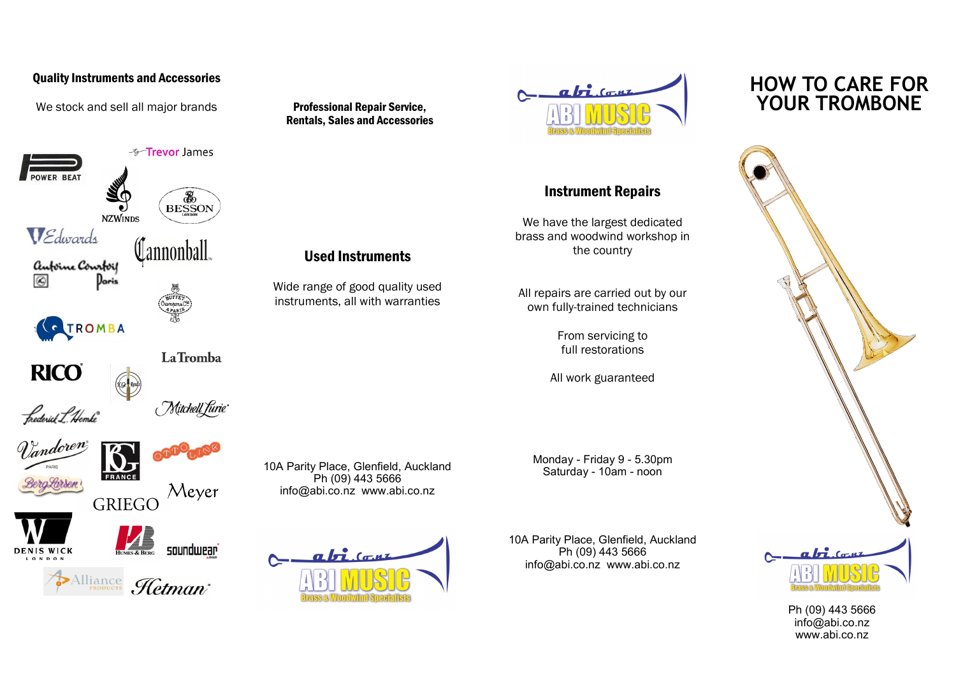## Quality Instruments and Accessories

We stock and sell all major brands



**RICO** 

Mitchell furie

Meyer

soundwear







FRANCI **GRIEGO** 



 $X^*$ 

Alliance Hetman

Professional Repair Service, Rentals, Sales and Accessories

Used Instruments

Wide range of good quality used instruments, all with warranties

10A Parity Place, Glenfield, Auckland Ph (09) 443 5666 info@abi.co.nz www.abi.co.nz

 $a\overline{b}$   $(a, \mu)$ 



## Instrument Repairs

We have the largest dedicated brass and woodwind workshop in the country

All repairs are carried out by our own fully-trained technicians

> From servicing to full restorations

All work guaranteed

Monday - Friday 9 - 5.30pm Saturday - 10am - noon

10A Parity Place, Glenfield, Auckland Ph (09) 443 5666 info@abi.co.nz www.abi.co.nz

## **HOW TO CARE FOR YOUR TROMBONE**



Ph (09) 443 5666 info@abi.co.nz www.abi.co.nz